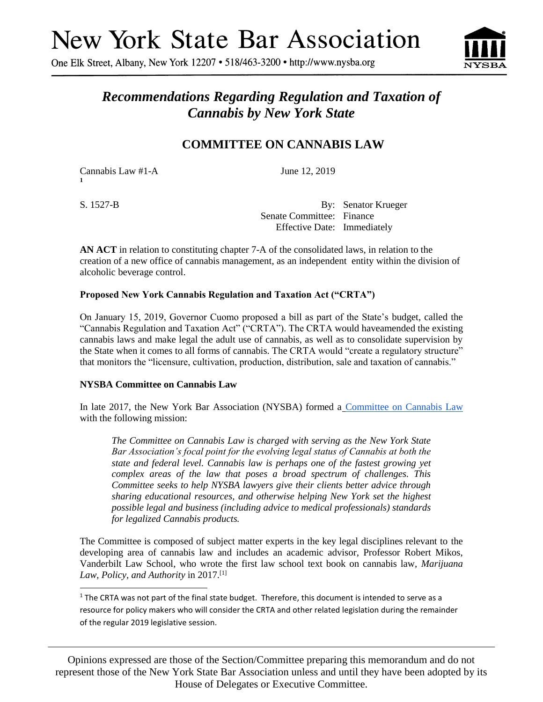One Elk Street, Albany, New York 12207 • 518/463-3200 • http://www.nysba.org



# *Recommendations Regarding Regulation and Taxation of Cannabis by New York State*

# **COMMITTEE ON CANNABIS LAW**

Cannabis Law #1-A June 12, 2019 **1**

S. 1527-B By: Senator Krueger Senate Committee: Finance Effective Date: Immediately

**AN ACT** in relation to constituting chapter 7-A of the consolidated laws, in relation to the creation of a new office of cannabis management, as an independent entity within the division of alcoholic beverage control.

# **Proposed New York Cannabis Regulation and Taxation Act ("CRTA")**

On January 15, 2019, Governor Cuomo proposed a bill as part of the State's budget, called the "Cannabis Regulation and Taxation Act" ("CRTA"). The CRTA would haveamended the existing cannabis laws and make legal the adult use of cannabis, as well as to consolidate supervision by the State when it comes to all forms of cannabis. The CRTA would "create a regulatory structure" that monitors the "licensure, cultivation, production, distribution, sale and taxation of cannabis."

# **NYSBA Committee on Cannabis Law**

In late 2017, the New York Bar Association (NYSBA) formed a [Committee on Cannabis Law](http://www.nysba.org/cannabislaw/) with the following mission:

*The Committee on Cannabis Law is charged with serving as the New York State Bar Association's focal point for the evolving legal status of Cannabis at both the state and federal level. Cannabis law is perhaps one of the fastest growing yet complex areas of the law that poses a broad spectrum of challenges. This Committee seeks to help NYSBA lawyers give their clients better advice through sharing educational resources, and otherwise helping New York set the highest possible legal and business (including advice to medical professionals) standards for legalized Cannabis products.*

The Committee is composed of subject matter experts in the key legal disciplines relevant to the developing area of cannabis law and includes an academic advisor, Professor Robert Mikos, Vanderbilt Law School, who wrote the first law school text book on cannabis law, *Marijuana Law, Policy, and Authority* in 2017.[1]

Opinions expressed are those of the Section/Committee preparing this memorandum and do not represent those of the New York State Bar Association unless and until they have been adopted by its House of Delegates or Executive Committee.

l  $1$  The CRTA was not part of the final state budget. Therefore, this document is intended to serve as a resource for policy makers who will consider the CRTA and other related legislation during the remainder of the regular 2019 legislative session.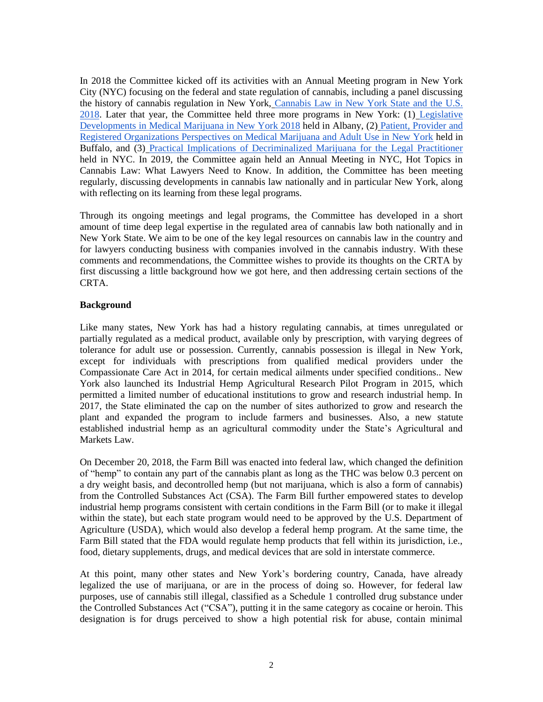In 2018 the Committee kicked off its activities with an Annual Meeting program in New York City (NYC) focusing on the federal and state regulation of cannabis, including a panel discussing the history of cannabis regulation in New York, [Cannabis Law in New York](http://www.nysba.org/store/detail.aspx?id=VCAN0) State and the U.S. [2018.](http://www.nysba.org/store/detail.aspx?id=VCAN0) Later that year, the Committee held three more programs in New York: (1) [Legislative](http://www.nysba.org/store/detail.aspx?id=VFH81)  [Developments in Medical Marijuana in New York](http://www.nysba.org/store/detail.aspx?id=VFH81) 2018 held in Albany, (2) [Patient, Provider and](https://www.nysba.org/store/detail.aspx?id=VFJ62)  [Registered Organizations Perspectives on Medical Marijuana and Adult Use in New York](https://www.nysba.org/store/detail.aspx?id=VFJ62) held in Buffalo, and (3) Practical Implications [of Decriminalized Marijuana for the Legal Practitioner](https://www.nysba.org/store/detail.aspx?id=VFT14) held in NYC. In 2019, the Committee again held an Annual Meeting in NYC, Hot Topics in Cannabis Law: What Lawyers Need to Know. In addition, the Committee has been meeting regularly, discussing developments in cannabis law nationally and in particular New York, along with reflecting on its learning from these legal programs.

Through its ongoing meetings and legal programs, the Committee has developed in a short amount of time deep legal expertise in the regulated area of cannabis law both nationally and in New York State. We aim to be one of the key legal resources on cannabis law in the country and for lawyers conducting business with companies involved in the cannabis industry. With these comments and recommendations, the Committee wishes to provide its thoughts on the CRTA by first discussing a little background how we got here, and then addressing certain sections of the CRTA.

#### **Background**

Like many states, New York has had a history regulating cannabis, at times unregulated or partially regulated as a medical product, available only by prescription, with varying degrees of tolerance for adult use or possession. Currently, cannabis possession is illegal in New York, except for individuals with prescriptions from qualified medical providers under the Compassionate Care Act in 2014, for certain medical ailments under specified conditions.. New York also launched its Industrial Hemp Agricultural Research Pilot Program in 2015, which permitted a limited number of educational institutions to grow and research industrial hemp. In 2017, the State eliminated the cap on the number of sites authorized to grow and research the plant and expanded the program to include farmers and businesses. Also, a new statute established industrial hemp as an agricultural commodity under the State's Agricultural and Markets Law.

On December 20, 2018, the Farm Bill was enacted into federal law, which changed the definition of "hemp" to contain any part of the cannabis plant as long as the THC was below 0.3 percent on a dry weight basis, and decontrolled hemp (but not marijuana, which is also a form of cannabis) from the Controlled Substances Act (CSA). The Farm Bill further empowered states to develop industrial hemp programs consistent with certain conditions in the Farm Bill (or to make it illegal within the state), but each state program would need to be approved by the U.S. Department of Agriculture (USDA), which would also develop a federal hemp program. At the same time, the Farm Bill stated that the FDA would regulate hemp products that fell within its jurisdiction, i.e., food, dietary supplements, drugs, and medical devices that are sold in interstate commerce.

At this point, many other states and New York's bordering country, Canada, have already legalized the use of marijuana, or are in the process of doing so. However, for federal law purposes, use of cannabis still illegal, classified as a Schedule 1 controlled drug substance under the Controlled Substances Act ("CSA"), putting it in the same category as cocaine or heroin. This designation is for drugs perceived to show a high potential risk for abuse, contain minimal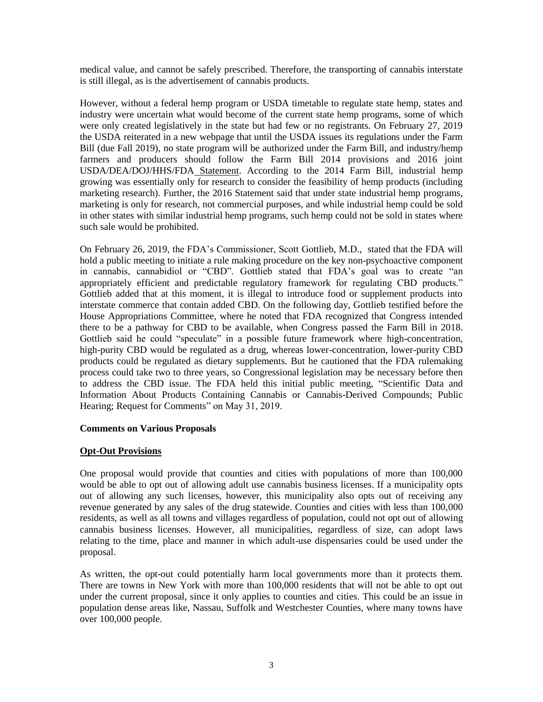medical value, and cannot be safely prescribed. Therefore, the transporting of cannabis interstate is still illegal, as is the advertisement of cannabis products.

However, without a federal hemp program or USDA timetable to regulate state hemp, states and industry were uncertain what would become of the current state hemp programs, some of which were only created legislatively in the state but had few or no registrants. On February 27, 2019 the USDA reiterated in a new webpage that until the USDA issues its regulations under the Farm Bill (due Fall 2019), no state program will be authorized under the Farm Bill, and industry/hemp farmers and producers should follow the Farm Bill 2014 provisions and 2016 joint USDA/DEA/DOJ/HHS/FDA [Statement.](https://www.govinfo.gov/content/pkg/FR-2016-08-12/pdf/2016-19146.pdf) According to the 2014 Farm Bill, industrial hemp growing was essentially only for research to consider the feasibility of hemp products (including marketing research). Further, the 2016 Statement said that under state industrial hemp programs, marketing is only for research, not commercial purposes, and while industrial hemp could be sold in other states with similar industrial hemp programs, such hemp could not be sold in states where such sale would be prohibited.

On February 26, 2019, the FDA's Commissioner, Scott Gottlieb, M.D., stated that the FDA will hold a public meeting to initiate a rule making procedure on the key non-psychoactive component in cannabis, cannabidiol or "CBD". Gottlieb stated that FDA's goal was to create "an appropriately efficient and predictable regulatory framework for regulating CBD products." Gottlieb added that at this moment, it is illegal to introduce food or supplement products into interstate commerce that contain added CBD. On the following day, Gottlieb testified before the House Appropriations Committee, where he noted that FDA recognized that Congress intended there to be a pathway for CBD to be available, when Congress passed the Farm Bill in 2018. Gottlieb said he could "speculate" in a possible future framework where high-concentration, high-purity CBD would be regulated as a drug, whereas lower-concentration, lower-purity CBD products could be regulated as dietary supplements. But he cautioned that the FDA rulemaking process could take two to three years, so Congressional legislation may be necessary before then to address the CBD issue. The FDA held this initial public meeting, "Scientific Data and Information About Products Containing Cannabis or Cannabis-Derived Compounds; Public Hearing; Request for Comments" on May 31, 2019.

#### **Comments on Various Proposals**

#### **Opt-Out Provisions**

One proposal would provide that counties and cities with populations of more than 100,000 would be able to opt out of allowing adult use cannabis business licenses. If a municipality opts out of allowing any such licenses, however, this municipality also opts out of receiving any revenue generated by any sales of the drug statewide. Counties and cities with less than 100,000 residents, as well as all towns and villages regardless of population, could not opt out of allowing cannabis business licenses. However, all municipalities, regardless of size, can adopt laws relating to the time, place and manner in which adult-use dispensaries could be used under the proposal.

As written, the opt-out could potentially harm local governments more than it protects them. There are towns in New York with more than 100,000 residents that will not be able to opt out under the current proposal, since it only applies to counties and cities. This could be an issue in population dense areas like, Nassau, Suffolk and Westchester Counties, where many towns have over 100,000 people.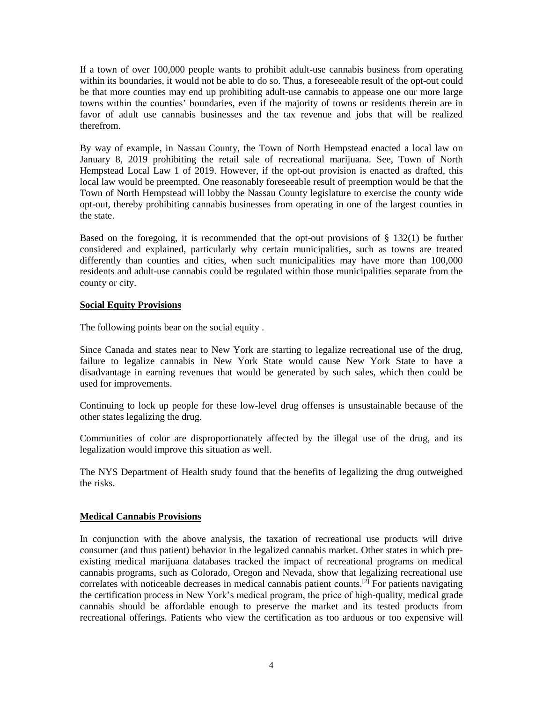If a town of over 100,000 people wants to prohibit adult-use cannabis business from operating within its boundaries, it would not be able to do so. Thus, a foreseeable result of the opt-out could be that more counties may end up prohibiting adult-use cannabis to appease one our more large towns within the counties' boundaries, even if the majority of towns or residents therein are in favor of adult use cannabis businesses and the tax revenue and jobs that will be realized therefrom.

By way of example, in Nassau County, the Town of North Hempstead enacted a local law on January 8, 2019 prohibiting the retail sale of recreational marijuana. See, Town of North Hempstead Local Law 1 of 2019. However, if the opt-out provision is enacted as drafted, this local law would be preempted. One reasonably foreseeable result of preemption would be that the Town of North Hempstead will lobby the Nassau County legislature to exercise the county wide opt-out, thereby prohibiting cannabis businesses from operating in one of the largest counties in the state.

Based on the foregoing, it is recommended that the opt-out provisions of § 132(1) be further considered and explained, particularly why certain municipalities, such as towns are treated differently than counties and cities, when such municipalities may have more than 100,000 residents and adult-use cannabis could be regulated within those municipalities separate from the county or city.

#### **Social Equity Provisions**

The following points bear on the social equity .

Since Canada and states near to New York are starting to legalize recreational use of the drug, failure to legalize cannabis in New York State would cause New York State to have a disadvantage in earning revenues that would be generated by such sales, which then could be used for improvements.

Continuing to lock up people for these low-level drug offenses is unsustainable because of the other states legalizing the drug.

Communities of color are disproportionately affected by the illegal use of the drug, and its legalization would improve this situation as well.

The NYS Department of Health study found that the benefits of legalizing the drug outweighed the risks.

# **Medical Cannabis Provisions**

In conjunction with the above analysis, the taxation of recreational use products will drive consumer (and thus patient) behavior in the legalized cannabis market. Other states in which preexisting medical marijuana databases tracked the impact of recreational programs on medical cannabis programs, such as Colorado, Oregon and Nevada, show that legalizing recreational use correlates with noticeable decreases in medical cannabis patient counts.<sup>[2]</sup> For patients navigating the certification process in New York's medical program, the price of high-quality, medical grade cannabis should be affordable enough to preserve the market and its tested products from recreational offerings. Patients who view the certification as too arduous or too expensive will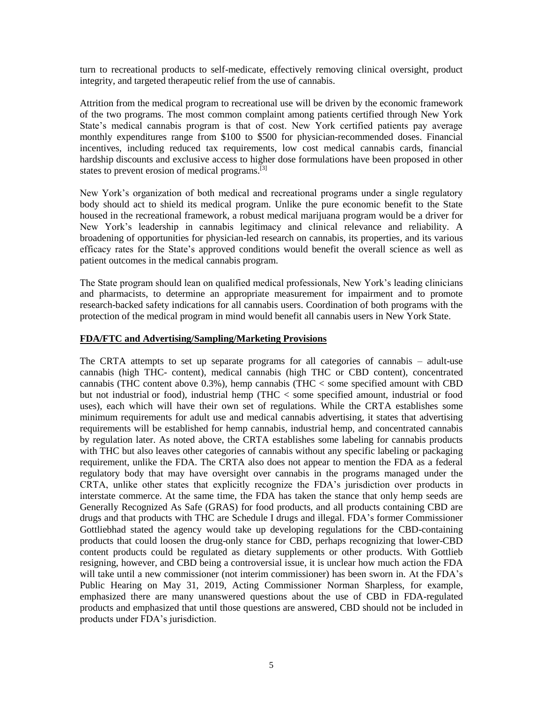turn to recreational products to self-medicate, effectively removing clinical oversight, product integrity, and targeted therapeutic relief from the use of cannabis.

Attrition from the medical program to recreational use will be driven by the economic framework of the two programs. The most common complaint among patients certified through New York State's medical cannabis program is that of cost. New York certified patients pay average monthly expenditures range from \$100 to \$500 for physician-recommended doses. Financial incentives, including reduced tax requirements, low cost medical cannabis cards, financial hardship discounts and exclusive access to higher dose formulations have been proposed in other states to prevent erosion of medical programs.<sup>[3]</sup>

New York's organization of both medical and recreational programs under a single regulatory body should act to shield its medical program. Unlike the pure economic benefit to the State housed in the recreational framework, a robust medical marijuana program would be a driver for New York's leadership in cannabis legitimacy and clinical relevance and reliability. A broadening of opportunities for physician-led research on cannabis, its properties, and its various efficacy rates for the State's approved conditions would benefit the overall science as well as patient outcomes in the medical cannabis program.

The State program should lean on qualified medical professionals, New York's leading clinicians and pharmacists, to determine an appropriate measurement for impairment and to promote research-backed safety indications for all cannabis users. Coordination of both programs with the protection of the medical program in mind would benefit all cannabis users in New York State.

#### **FDA/FTC and Advertising/Sampling/Marketing Provisions**

The CRTA attempts to set up separate programs for all categories of cannabis – adult-use cannabis (high THC- content), medical cannabis (high THC or CBD content), concentrated cannabis (THC content above 0.3%), hemp cannabis (THC < some specified amount with CBD but not industrial or food), industrial hemp (THC < some specified amount, industrial or food uses), each which will have their own set of regulations. While the CRTA establishes some minimum requirements for adult use and medical cannabis advertising, it states that advertising requirements will be established for hemp cannabis, industrial hemp, and concentrated cannabis by regulation later. As noted above, the CRTA establishes some labeling for cannabis products with THC but also leaves other categories of cannabis without any specific labeling or packaging requirement, unlike the FDA. The CRTA also does not appear to mention the FDA as a federal regulatory body that may have oversight over cannabis in the programs managed under the CRTA, unlike other states that explicitly recognize the FDA's jurisdiction over products in interstate commerce. At the same time, the FDA has taken the stance that only hemp seeds are Generally Recognized As Safe (GRAS) for food products, and all products containing CBD are drugs and that products with THC are Schedule I drugs and illegal. FDA's former Commissioner Gottliebhad stated the agency would take up developing regulations for the CBD-containing products that could loosen the drug-only stance for CBD, perhaps recognizing that lower-CBD content products could be regulated as dietary supplements or other products. With Gottlieb resigning, however, and CBD being a controversial issue, it is unclear how much action the FDA will take until a new commissioner (not interim commissioner) has been sworn in. At the FDA's Public Hearing on May 31, 2019, Acting Commissioner Norman Sharpless, for example, emphasized there are many unanswered questions about the use of CBD in FDA-regulated products and emphasized that until those questions are answered, CBD should not be included in products under FDA's jurisdiction.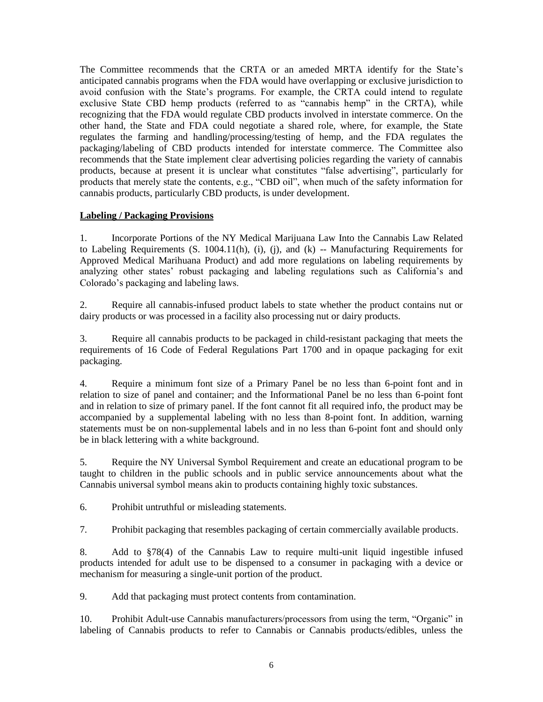The Committee recommends that the CRTA or an ameded MRTA identify for the State's anticipated cannabis programs when the FDA would have overlapping or exclusive jurisdiction to avoid confusion with the State's programs. For example, the CRTA could intend to regulate exclusive State CBD hemp products (referred to as "cannabis hemp" in the CRTA), while recognizing that the FDA would regulate CBD products involved in interstate commerce. On the other hand, the State and FDA could negotiate a shared role, where, for example, the State regulates the farming and handling/processing/testing of hemp, and the FDA regulates the packaging/labeling of CBD products intended for interstate commerce. The Committee also recommends that the State implement clear advertising policies regarding the variety of cannabis products, because at present it is unclear what constitutes "false advertising", particularly for products that merely state the contents, e.g., "CBD oil", when much of the safety information for cannabis products, particularly CBD products, is under development.

#### **Labeling / Packaging Provisions**

1. Incorporate Portions of the NY Medical Marijuana Law Into the Cannabis Law Related to Labeling Requirements (S. 1004.11(h), (i), (j), and (k) -- Manufacturing Requirements for Approved Medical Marihuana Product) and add more regulations on labeling requirements by analyzing other states' robust packaging and labeling regulations such as California's and Colorado's packaging and labeling laws.

2. Require all cannabis-infused product labels to state whether the product contains nut or dairy products or was processed in a facility also processing nut or dairy products.

3. Require all cannabis products to be packaged in child-resistant packaging that meets the requirements of 16 Code of Federal Regulations Part 1700 and in opaque packaging for exit packaging.

4. Require a minimum font size of a Primary Panel be no less than 6-point font and in relation to size of panel and container; and the Informational Panel be no less than 6-point font and in relation to size of primary panel. If the font cannot fit all required info, the product may be accompanied by a supplemental labeling with no less than 8-point font. In addition, warning statements must be on non-supplemental labels and in no less than 6-point font and should only be in black lettering with a white background.

5. Require the NY Universal Symbol Requirement and create an educational program to be taught to children in the public schools and in public service announcements about what the Cannabis universal symbol means akin to products containing highly toxic substances.

6. Prohibit untruthful or misleading statements.

7. Prohibit packaging that resembles packaging of certain commercially available products.

8. Add to §78(4) of the Cannabis Law to require multi-unit liquid ingestible infused products intended for adult use to be dispensed to a consumer in packaging with a device or mechanism for measuring a single-unit portion of the product.

9. Add that packaging must protect contents from contamination.

10. Prohibit Adult-use Cannabis manufacturers/processors from using the term, "Organic" in labeling of Cannabis products to refer to Cannabis or Cannabis products/edibles, unless the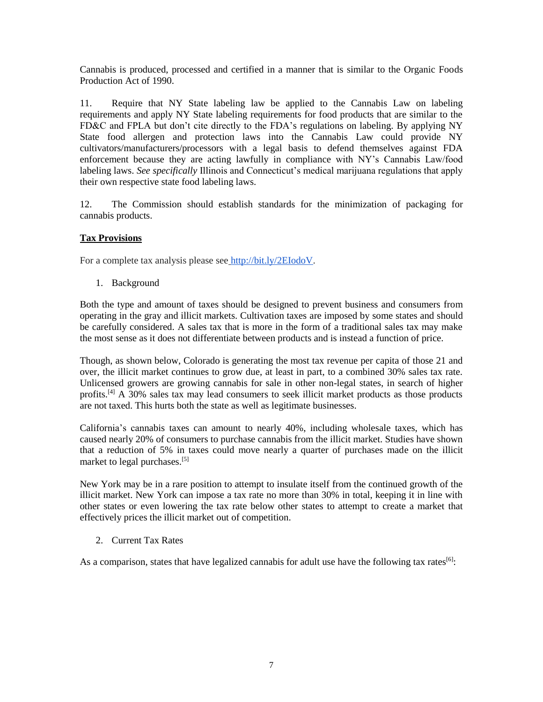Cannabis is produced, processed and certified in a manner that is similar to the Organic Foods Production Act of 1990.

11. Require that NY State labeling law be applied to the Cannabis Law on labeling requirements and apply NY State labeling requirements for food products that are similar to the FD&C and FPLA but don't cite directly to the FDA's regulations on labeling. By applying NY State food allergen and protection laws into the Cannabis Law could provide NY cultivators/manufacturers/processors with a legal basis to defend themselves against FDA enforcement because they are acting lawfully in compliance with NY's Cannabis Law/food labeling laws. *See specifically* Illinois and Connecticut's medical marijuana regulations that apply their own respective state food labeling laws.

12. The Commission should establish standards for the minimization of packaging for cannabis products.

# **Tax Provisions**

For a complete tax analysis please see [http://bit.ly/2EIodoV.](http://bit.ly/2EIodoV)

1. Background

Both the type and amount of taxes should be designed to prevent business and consumers from operating in the gray and illicit markets. Cultivation taxes are imposed by some states and should be carefully considered. A sales tax that is more in the form of a traditional sales tax may make the most sense as it does not differentiate between products and is instead a function of price.

Though, as shown below, Colorado is generating the most tax revenue per capita of those 21 and over, the illicit market continues to grow due, at least in part, to a combined 30% sales tax rate. Unlicensed growers are growing cannabis for sale in other non-legal states, in search of higher profits.<sup>[4]</sup> A 30% sales tax may lead consumers to seek illicit market products as those products are not taxed. This hurts both the state as well as legitimate businesses.

California's cannabis taxes can amount to nearly 40%, including wholesale taxes, which has caused nearly 20% of consumers to purchase cannabis from the illicit market. Studies have shown that a reduction of 5% in taxes could move nearly a quarter of purchases made on the illicit market to legal purchases.<sup>[5]</sup>

New York may be in a rare position to attempt to insulate itself from the continued growth of the illicit market. New York can impose a tax rate no more than 30% in total, keeping it in line with other states or even lowering the tax rate below other states to attempt to create a market that effectively prices the illicit market out of competition.

2. Current Tax Rates

As a comparison, states that have legalized cannabis for adult use have the following tax rates<sup>[6]</sup>: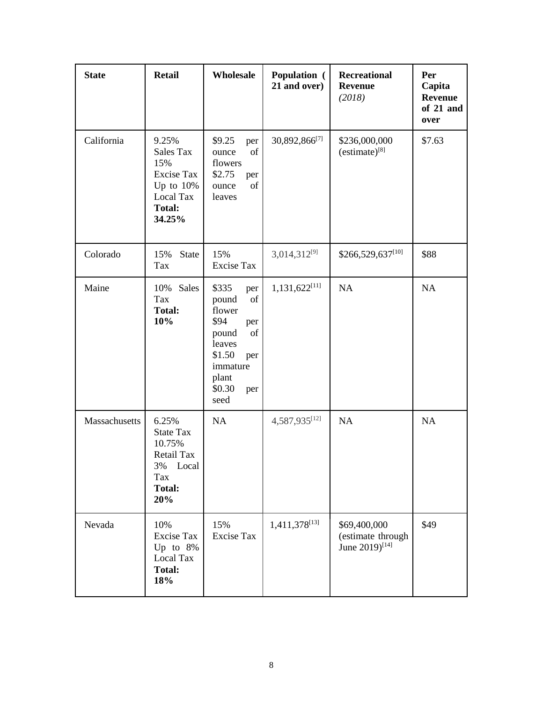| <b>State</b>  | <b>Retail</b>                                                                                          | Wholesale                                                                                                                                    | Population (<br>21 and over) | <b>Recreational</b><br><b>Revenue</b><br>(2018)                 | Per<br>Capita<br><b>Revenue</b><br>of 21 and<br>over |
|---------------|--------------------------------------------------------------------------------------------------------|----------------------------------------------------------------------------------------------------------------------------------------------|------------------------------|-----------------------------------------------------------------|------------------------------------------------------|
| California    | 9.25%<br>Sales Tax<br>15%<br><b>Excise Tax</b><br>Up to $10\%$<br>Local Tax<br><b>Total:</b><br>34.25% | \$9.25<br>per<br>of<br>ounce<br>flowers<br>\$2.75<br>per<br>of<br>ounce<br>leaves                                                            | 30,892,866[7]                | \$236,000,000<br>$(estimate)^{[8]}$                             | \$7.63                                               |
| Colorado      | 15%<br><b>State</b><br>Tax                                                                             | 15%<br><b>Excise Tax</b>                                                                                                                     | $3,014,312^{[9]}$            | \$266,529,637[10]                                               | \$88                                                 |
| Maine         | 10% Sales<br>Tax<br><b>Total:</b><br>10%                                                               | \$335<br>per<br>of<br>pound<br>flower<br>\$94<br>per<br>pound<br>of<br>leaves<br>\$1.50<br>per<br>immature<br>plant<br>\$0.30<br>per<br>seed | $1,131,622^{[11]}$           | NA                                                              | NA                                                   |
| Massachusetts | 6.25%<br><b>State Tax</b><br>10.75%<br>Retail Tax<br>Local<br>3%<br>Tax<br><b>Total:</b><br>20%        | NA                                                                                                                                           | 4,587,935[12]                | NA                                                              | <b>NA</b>                                            |
| Nevada        | 10%<br>Excise Tax<br>Up to 8%<br>Local Tax<br><b>Total:</b><br>18%                                     | 15%<br>Excise Tax                                                                                                                            | $1,411,378^{[13]}$           | \$69,400,000<br>(estimate through<br>June 2019) <sup>[14]</sup> | \$49                                                 |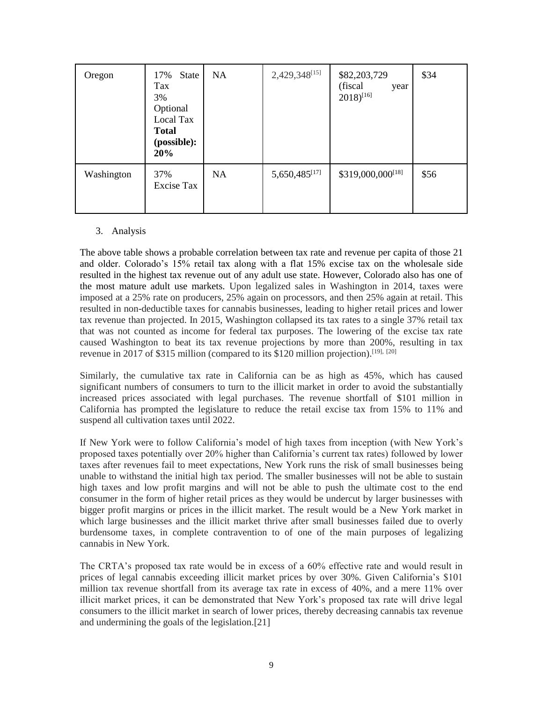| Oregon     | State<br>17%<br>Tax<br>3%<br>Optional<br>Local Tax<br><b>Total</b><br>(possible):<br>20% | <b>NA</b> | 2,429,348[15]             | \$82,203,729<br>(fiscal)<br>year<br>$2018)^{[16]}$ | \$34 |
|------------|------------------------------------------------------------------------------------------|-----------|---------------------------|----------------------------------------------------|------|
| Washington | 37%<br>Excise Tax                                                                        | NA.       | 5,650,485 <sup>[17]</sup> | \$319,000,000 <sup>[18]</sup>                      | \$56 |

#### 3. Analysis

The above table shows a probable correlation between tax rate and revenue per capita of those 21 and older. Colorado's 15% retail tax along with a flat 15% excise tax on the wholesale side resulted in the highest tax revenue out of any adult use state. However, Colorado also has one of the most mature adult use markets. Upon legalized sales in Washington in 2014, taxes were imposed at a 25% rate on producers, 25% again on processors, and then 25% again at retail. This resulted in non-deductible taxes for cannabis businesses, leading to higher retail prices and lower tax revenue than projected. In 2015, Washington collapsed its tax rates to a single 37% retail tax that was not counted as income for federal tax purposes. The lowering of the excise tax rate caused Washington to beat its tax revenue projections by more than 200%, resulting in tax revenue in 2017 of \$315 million (compared to its \$120 million projection).<sup>[19], [20]</sup>

Similarly, the cumulative tax rate in California can be as high as 45%, which has caused significant numbers of consumers to turn to the illicit market in order to avoid the substantially increased prices associated with legal purchases. The revenue shortfall of \$101 million in California has prompted the legislature to reduce the retail excise tax from 15% to 11% and suspend all cultivation taxes until 2022.

If New York were to follow California's model of high taxes from inception (with New York's proposed taxes potentially over 20% higher than California's current tax rates) followed by lower taxes after revenues fail to meet expectations, New York runs the risk of small businesses being unable to withstand the initial high tax period. The smaller businesses will not be able to sustain high taxes and low profit margins and will not be able to push the ultimate cost to the end consumer in the form of higher retail prices as they would be undercut by larger businesses with bigger profit margins or prices in the illicit market. The result would be a New York market in which large businesses and the illicit market thrive after small businesses failed due to overly burdensome taxes, in complete contravention to of one of the main purposes of legalizing cannabis in New York.

The CRTA's proposed tax rate would be in excess of a 60% effective rate and would result in prices of legal cannabis exceeding illicit market prices by over 30%. Given California's \$101 million tax revenue shortfall from its average tax rate in excess of 40%, and a mere 11% over illicit market prices, it can be demonstrated that New York's proposed tax rate will drive legal consumers to the illicit market in search of lower prices, thereby decreasing cannabis tax revenue and undermining the goals of the legislation.[21]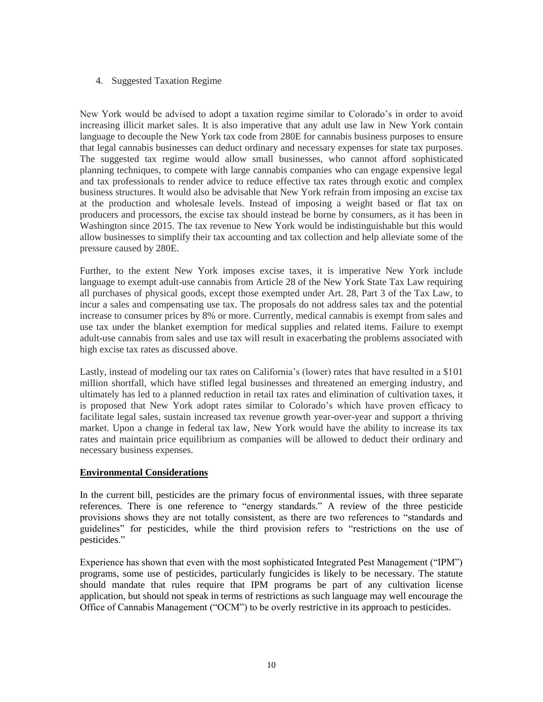#### 4. Suggested Taxation Regime

New York would be advised to adopt a taxation regime similar to Colorado's in order to avoid increasing illicit market sales. It is also imperative that any adult use law in New York contain language to decouple the New York tax code from 280E for cannabis business purposes to ensure that legal cannabis businesses can deduct ordinary and necessary expenses for state tax purposes. The suggested tax regime would allow small businesses, who cannot afford sophisticated planning techniques, to compete with large cannabis companies who can engage expensive legal and tax professionals to render advice to reduce effective tax rates through exotic and complex business structures. It would also be advisable that New York refrain from imposing an excise tax at the production and wholesale levels. Instead of imposing a weight based or flat tax on producers and processors, the excise tax should instead be borne by consumers, as it has been in Washington since 2015. The tax revenue to New York would be indistinguishable but this would allow businesses to simplify their tax accounting and tax collection and help alleviate some of the pressure caused by 280E.

Further, to the extent New York imposes excise taxes, it is imperative New York include language to exempt adult-use cannabis from Article 28 of the New York State Tax Law requiring all purchases of physical goods, except those exempted under Art. 28, Part 3 of the Tax Law, to incur a sales and compensating use tax. The proposals do not address sales tax and the potential increase to consumer prices by 8% or more. Currently, medical cannabis is exempt from sales and use tax under the blanket exemption for medical supplies and related items. Failure to exempt adult-use cannabis from sales and use tax will result in exacerbating the problems associated with high excise tax rates as discussed above.

Lastly, instead of modeling our tax rates on California's (lower) rates that have resulted in a \$101 million shortfall, which have stifled legal businesses and threatened an emerging industry, and ultimately has led to a planned reduction in retail tax rates and elimination of cultivation taxes, it is proposed that New York adopt rates similar to Colorado's which have proven efficacy to facilitate legal sales, sustain increased tax revenue growth year-over-year and support a thriving market. Upon a change in federal tax law, New York would have the ability to increase its tax rates and maintain price equilibrium as companies will be allowed to deduct their ordinary and necessary business expenses.

#### **Environmental Considerations**

In the current bill, pesticides are the primary focus of environmental issues, with three separate references. There is one reference to "energy standards." A review of the three pesticide provisions shows they are not totally consistent, as there are two references to "standards and guidelines" for pesticides, while the third provision refers to "restrictions on the use of pesticides."

Experience has shown that even with the most sophisticated Integrated Pest Management ("IPM") programs, some use of pesticides, particularly fungicides is likely to be necessary. The statute should mandate that rules require that IPM programs be part of any cultivation license application, but should not speak in terms of restrictions as such language may well encourage the Office of Cannabis Management ("OCM") to be overly restrictive in its approach to pesticides.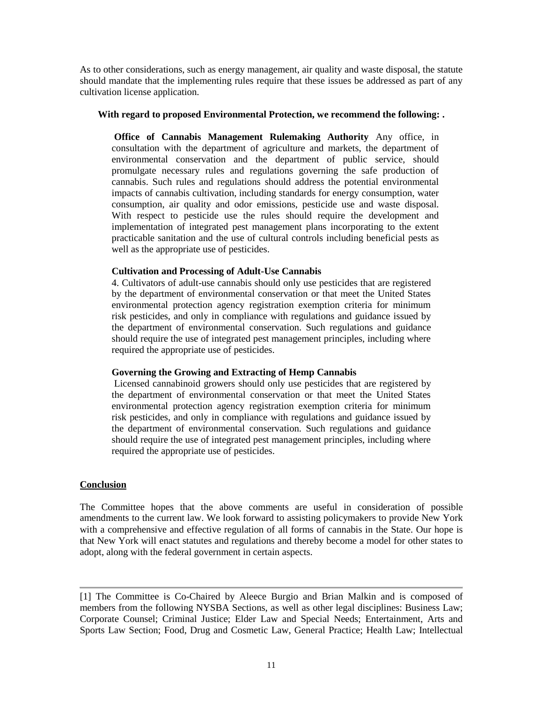As to other considerations, such as energy management, air quality and waste disposal, the statute should mandate that the implementing rules require that these issues be addressed as part of any cultivation license application.

#### **With regard to proposed Environmental Protection, we recommend the following: .**

**Office of Cannabis Management Rulemaking Authority** Any office, in consultation with the department of agriculture and markets, the department of environmental conservation and the department of public service, should promulgate necessary rules and regulations governing the safe production of cannabis. Such rules and regulations should address the potential environmental impacts of cannabis cultivation, including standards for energy consumption, water consumption, air quality and odor emissions, pesticide use and waste disposal. With respect to pesticide use the rules should require the development and implementation of integrated pest management plans incorporating to the extent practicable sanitation and the use of cultural controls including beneficial pests as well as the appropriate use of pesticides.

#### **Cultivation and Processing of Adult-Use Cannabis**

4. Cultivators of adult-use cannabis should only use pesticides that are registered by the department of environmental conservation or that meet the United States environmental protection agency registration exemption criteria for minimum risk pesticides, and only in compliance with regulations and guidance issued by the department of environmental conservation. Such regulations and guidance should require the use of integrated pest management principles, including where required the appropriate use of pesticides.

#### **Governing the Growing and Extracting of Hemp Cannabis**

Licensed cannabinoid growers should only use pesticides that are registered by the department of environmental conservation or that meet the United States environmental protection agency registration exemption criteria for minimum risk pesticides, and only in compliance with regulations and guidance issued by the department of environmental conservation. Such regulations and guidance should require the use of integrated pest management principles, including where required the appropriate use of pesticides.

#### **Conclusion**

The Committee hopes that the above comments are useful in consideration of possible amendments to the current law. We look forward to assisting policymakers to provide New York with a comprehensive and effective regulation of all forms of cannabis in the State. Our hope is that New York will enact statutes and regulations and thereby become a model for other states to adopt, along with the federal government in certain aspects.

[1] The Committee is Co-Chaired by Aleece Burgio and Brian Malkin and is composed of members from the following NYSBA Sections, as well as other legal disciplines: Business Law; Corporate Counsel; Criminal Justice; Elder Law and Special Needs; Entertainment, Arts and Sports Law Section; Food, Drug and Cosmetic Law, General Practice; Health Law; Intellectual